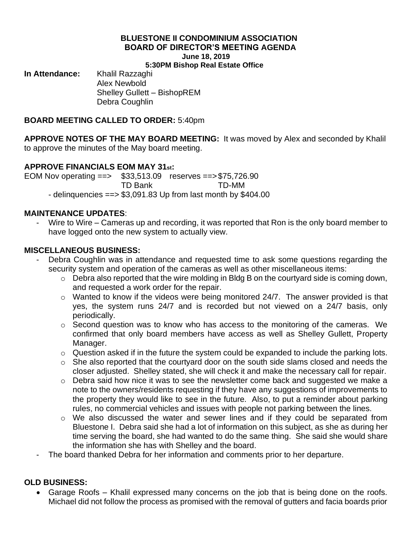# **BLUESTONE II CONDOMINIUM ASSOCIATION BOARD OF DIRECTOR'S MEETING AGENDA June 18, 2019**

**5:30PM Bishop Real Estate Office**

**In Attendance:** Khalil Razzaghi

Alex Newbold Shelley Gullett – BishopREM Debra Coughlin

#### **BOARD MEETING CALLED TO ORDER:** 5:40pm

**APPROVE NOTES OF THE MAY BOARD MEETING:** It was moved by Alex and seconded by Khalil to approve the minutes of the May board meeting.

# **APPROVE FINANCIALS EOM MAY 31st:**

EOM Nov operating ==> \$33,513.09 reserves ==>\$75,726.90

TD Bank TD-MM

- delinquencies  $==$  \$3,091.83 Up from last month by \$404.00

### **MAINTENANCE UPDATES**:

Wire to Wire – Cameras up and recording, it was reported that Ron is the only board member to have logged onto the new system to actually view.

### **MISCELLANEOUS BUSINESS:**

- Debra Coughlin was in attendance and requested time to ask some questions regarding the security system and operation of the cameras as well as other miscellaneous items:
	- o Debra also reported that the wire molding in Bldg B on the courtyard side is coming down, and requested a work order for the repair.
	- $\circ$  Wanted to know if the videos were being monitored 24/7. The answer provided is that yes, the system runs 24/7 and is recorded but not viewed on a 24/7 basis, only periodically.
	- o Second question was to know who has access to the monitoring of the cameras. We confirmed that only board members have access as well as Shelley Gullett, Property Manager.
	- o Question asked if in the future the system could be expanded to include the parking lots.
	- o She also reported that the courtyard door on the south side slams closed and needs the closer adjusted. Shelley stated, she will check it and make the necessary call for repair.
	- o Debra said how nice it was to see the newsletter come back and suggested we make a note to the owners/residents requesting if they have any suggestions of improvements to the property they would like to see in the future. Also, to put a reminder about parking rules, no commercial vehicles and issues with people not parking between the lines.
	- o We also discussed the water and sewer lines and if they could be separated from Bluestone I. Debra said she had a lot of information on this subject, as she as during her time serving the board, she had wanted to do the same thing. She said she would share the information she has with Shelley and the board.
- The board thanked Debra for her information and comments prior to her departure.

## **OLD BUSINESS:**

• Garage Roofs – Khalil expressed many concerns on the job that is being done on the roofs. Michael did not follow the process as promised with the removal of gutters and facia boards prior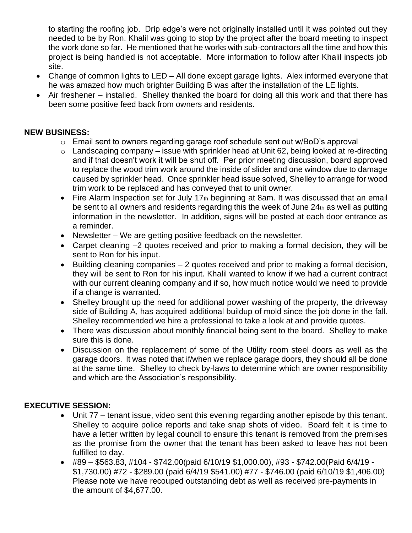to starting the roofing job. Drip edge's were not originally installed until it was pointed out they needed to be by Ron. Khalil was going to stop by the project after the board meeting to inspect the work done so far. He mentioned that he works with sub-contractors all the time and how this project is being handled is not acceptable. More information to follow after Khalil inspects job site.

- Change of common lights to LED All done except garage lights. Alex informed everyone that he was amazed how much brighter Building B was after the installation of the LE lights.
- Air freshener installed. Shelley thanked the board for doing all this work and that there has been some positive feed back from owners and residents.

## **NEW BUSINESS:**

- o Email sent to owners regarding garage roof schedule sent out w/BoD's approval
- $\circ$  Landscaping company issue with sprinkler head at Unit 62, being looked at re-directing and if that doesn't work it will be shut off. Per prior meeting discussion, board approved to replace the wood trim work around the inside of slider and one window due to damage caused by sprinkler head. Once sprinkler head issue solved, Shelley to arrange for wood trim work to be replaced and has conveyed that to unit owner.
- Fire Alarm Inspection set for July 17th beginning at 8am. It was discussed that an email be sent to all owners and residents regarding this the week of June 24th as well as putting information in the newsletter. In addition, signs will be posted at each door entrance as a reminder.
- Newsletter We are getting positive feedback on the newsletter.
- Carpet cleaning –2 quotes received and prior to making a formal decision, they will be sent to Ron for his input.
- Building cleaning companies 2 quotes received and prior to making a formal decision, they will be sent to Ron for his input. Khalil wanted to know if we had a current contract with our current cleaning company and if so, how much notice would we need to provide if a change is warranted.
- Shelley brought up the need for additional power washing of the property, the driveway side of Building A, has acquired additional buildup of mold since the job done in the fall. Shelley recommended we hire a professional to take a look at and provide quotes.
- There was discussion about monthly financial being sent to the board. Shelley to make sure this is done.
- Discussion on the replacement of some of the Utility room steel doors as well as the garage doors. It was noted that if/when we replace garage doors, they should all be done at the same time. Shelley to check by-laws to determine which are owner responsibility and which are the Association's responsibility.

## **EXECUTIVE SESSION:**

- Unit 77 tenant issue, video sent this evening regarding another episode by this tenant. Shelley to acquire police reports and take snap shots of video. Board felt it is time to have a letter written by legal council to ensure this tenant is removed from the premises as the promise from the owner that the tenant has been asked to leave has not been fulfilled to day.
- #89 \$563.83, #104 \$742.00(paid 6/10/19 \$1,000.00), #93 \$742.00(Paid 6/4/19 \$1,730.00) #72 - \$289.00 (paid 6/4/19 \$541.00) #77 - \$746.00 (paid 6/10/19 \$1,406.00) Please note we have recouped outstanding debt as well as received pre-payments in the amount of \$4,677.00.